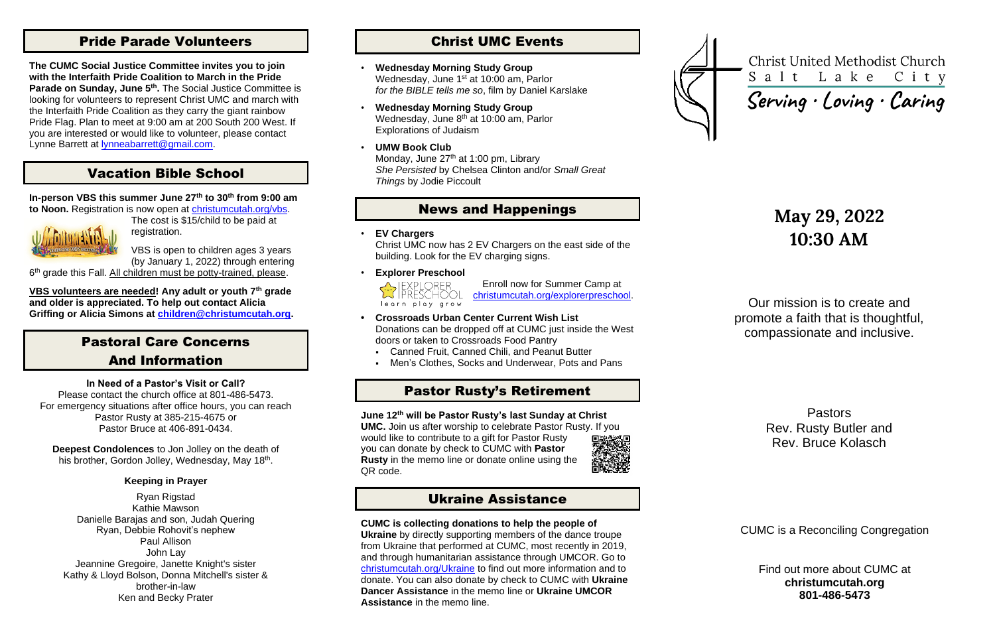## Pride Parade Volunteers

**The CUMC Social Justice Committee invites you to join with the Interfaith Pride Coalition to March in the Pride Parade on Sunday, June 5th .** The Social Justice Committee is looking for volunteers to represent Christ UMC and march with the Interfaith Pride Coalition as they carry the giant rainbow Pride Flag. Plan to meet at 9:00 am at 200 South 200 West. If you are interested or would like to volunteer, please contact Lynne Barrett at [lynneabarrett@gmail.com.](mailto:lynneabarrett@gmail.com)

## Vacation Bible School

**In-person VBS this summer June 27th to 30th from 9:00 am to Noon.** Registration is now open at [christumcutah.org/vbs.](http://www.christumcutah.org/vbs)



**Deepest Condolences** to Jon Jolley on the death of his brother, Gordon Jolley, Wednesday, May 18<sup>th</sup>.

The cost is \$15/child to be paid at registration.

VBS is open to children ages 3 years (by January 1, 2022) through entering

6<sup>th</sup> grade this Fall. All children must be potty-trained, please.

**VBS volunteers are needed! Any adult or youth 7th grade and older is appreciated. To help out contact Alicia Griffing or Alicia Simons at [children@christumcutah.org.](mailto:children@christumcutah.org)**

## Pastoral Care Concerns And Information

### **In Need of a Pastor's Visit or Call?**

Please contact the church office at 801-486-5473. For emergency situations after office hours, you can reach Pastor Rusty at 385-215-4675 or Pastor Bruce at 406-891-0434.

### **Keeping in Prayer**

Ryan Rigstad Kathie Mawson Danielle Barajas and son, Judah Quering Ryan, Debbie Rohovit's nephew Paul Allison John Lay Jeannine Gregoire, Janette Knight's sister Kathy & Lloyd Bolson, Donna Mitchell's sister & brother-in-law Ken and Becky Prater

## Christ UMC Events

- **Wednesday Morning Study Group** Wednesday, June 1<sup>st</sup> at 10:00 am, Parlor *for the BIBLE tells me so*, film by Daniel Karslake
- **Wednesday Morning Study Group** Wednesday, June 8<sup>th</sup> at 10:00 am, Parlor Explorations of Judaism
- **UMW Book Club** Monday, June 27<sup>th</sup> at 1:00 pm, Library *She Persisted* by Chelsea Clinton and/or *Small Great Things* by Jodie Piccoult

## News and Happenings

• **EV Chargers**

Christ UMC now has 2 EV Chargers on the east side of the building. Look for the EV charging signs.

• **Explorer Preschool**



Enroll now for Summer Camp at [christumcutah.org/explorerpreschool.](file://///CUMC-DC01/data/CUMCData/CommonFolder/Bulletins/2022%20Bulletins/01%20January/christumcutah.org/discoveryplacepreschool)

- **• Crossroads Urban Center Current Wish List** Donations can be dropped off at CUMC just inside the West doors or taken to Crossroads Food Pantry
	- Canned Fruit, Canned Chili, and Peanut Butter
	- Men's Clothes, Socks and Underwear, Pots and Pans

## Pastor Rusty's Retirement

**June 12th will be Pastor Rusty's last Sunday at Christ UMC.** Join us after worship to celebrate Pastor Rusty. If you

would like to contribute to a gift for Pastor Rusty you can donate by check to CUMC with **Pastor Rusty** in the memo line or donate online using the QR code.



## Ukraine Assistance

### **CUMC is collecting donations to help the people of**

**Ukraine** by directly supporting members of the dance troupe from Ukraine that performed at CUMC, most recently in 2019, and through humanitarian assistance through UMCOR. Go to [christumcutah.org/Ukraine](http://www.christumcutah.org/Ukraine) to find out more information and to donate. You can also donate by check to CUMC with **Ukraine Dancer Assistance** in the memo line or **Ukraine UMCOR Assistance** in the memo line.



**Christ United Methodist Church** Salt Lake City

Serving · Loving · Caring

# **May 29, 2022 10:30 AM**

Our mission is to create and promote a faith that is thoughtful, compassionate and inclusive.

> Pastors Rev. Rusty Butler and Rev. Bruce Kolasch

CUMC is a Reconciling Congregation

Find out more about CUMC at **christumcutah.org 801-486-5473**